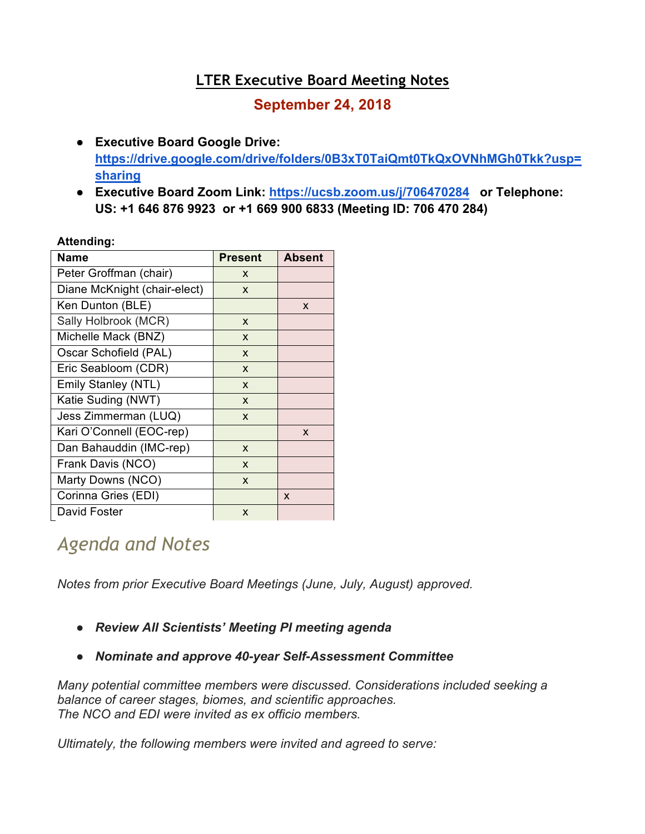## **LTER Executive Board Meeting Notes**

## **September 24, 2018**

- **Executive Board Google Drive: https://drive.google.com/drive/folders/0B3xT0TaiQmt0TkQxOVNhMGh0Tkk?usp= sharing**
- **Executive Board Zoom Link: https://ucsb.zoom.us/j/706470284 or Telephone: US: +1 646 876 9923 or +1 669 900 6833 (Meeting ID: 706 470 284)**

#### **Attending:**

| <b>Name</b>                  | <b>Present</b> | <b>Absent</b> |
|------------------------------|----------------|---------------|
| Peter Groffman (chair)       | X              |               |
| Diane McKnight (chair-elect) | X              |               |
| Ken Dunton (BLE)             |                | X             |
| Sally Holbrook (MCR)         | X              |               |
| Michelle Mack (BNZ)          | X              |               |
| Oscar Schofield (PAL)        | X              |               |
| Eric Seabloom (CDR)          | X              |               |
| Emily Stanley (NTL)          | X              |               |
| Katie Suding (NWT)           | X              |               |
| Jess Zimmerman (LUQ)         | X              |               |
| Kari O'Connell (EOC-rep)     |                | X             |
| Dan Bahauddin (IMC-rep)      | X              |               |
| Frank Davis (NCO)            | X              |               |
| Marty Downs (NCO)            | X              |               |
| Corinna Gries (EDI)          |                | X             |
| David Foster                 | X              |               |

# *Agenda and Notes*

*Notes from prior Executive Board Meetings (June, July, August) approved.*

- *Review All Scientists' Meeting PI meeting agenda*
- *Nominate and approve 40-year Self-Assessment Committee*

*Many potential committee members were discussed. Considerations included seeking a balance of career stages, biomes, and scientific approaches. The NCO and EDI were invited as ex officio members.*

*Ultimately, the following members were invited and agreed to serve:*